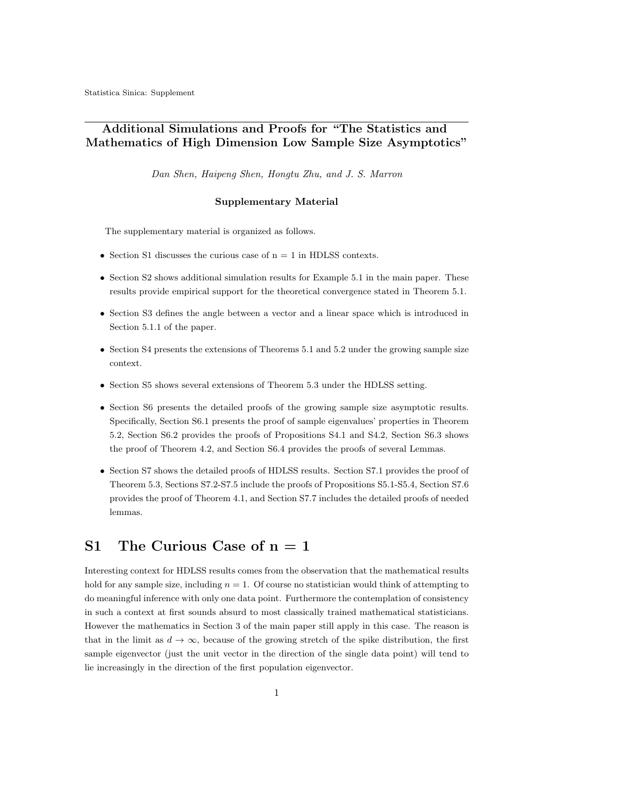## Additional Simulations and Proofs for "The Statistics and Mathematics of High Dimension Low Sample Size Asymptotics"

Dan Shen, Haipeng Shen, Hongtu Zhu, and J. S. Marron

#### Supplementary Material

The supplementary material is organized as follows.

- Section S1 discusses the curious case of  $n = 1$  in HDLSS contexts.
- Section S2 shows additional simulation results for Example 5.1 in the main paper. These results provide empirical support for the theoretical convergence stated in Theorem 5.1.
- Section S3 defines the angle between a vector and a linear space which is introduced in Section 5.1.1 of the paper.
- Section S4 presents the extensions of Theorems 5.1 and 5.2 under the growing sample size context.
- Section S5 shows several extensions of Theorem 5.3 under the HDLSS setting.
- Section S6 presents the detailed proofs of the growing sample size asymptotic results. Specifically, Section S6.1 presents the proof of sample eigenvalues' properties in Theorem 5.2, Section S6.2 provides the proofs of Propositions S4.1 and S4.2, Section S6.3 shows the proof of Theorem 4.2, and Section S6.4 provides the proofs of several Lemmas.
- Section S7 shows the detailed proofs of HDLSS results. Section S7.1 provides the proof of Theorem 5.3, Sections S7.2-S7.5 include the proofs of Propositions S5.1-S5.4, Section S7.6 provides the proof of Theorem 4.1, and Section S7.7 includes the detailed proofs of needed lemmas.

## S1 The Curious Case of  $n = 1$

Interesting context for HDLSS results comes from the observation that the mathematical results hold for any sample size, including  $n = 1$ . Of course no statistician would think of attempting to do meaningful inference with only one data point. Furthermore the contemplation of consistency in such a context at first sounds absurd to most classically trained mathematical statisticians. However the mathematics in Section 3 of the main paper still apply in this case. The reason is that in the limit as  $d \to \infty$ , because of the growing stretch of the spike distribution, the first sample eigenvector (just the unit vector in the direction of the single data point) will tend to lie increasingly in the direction of the first population eigenvector.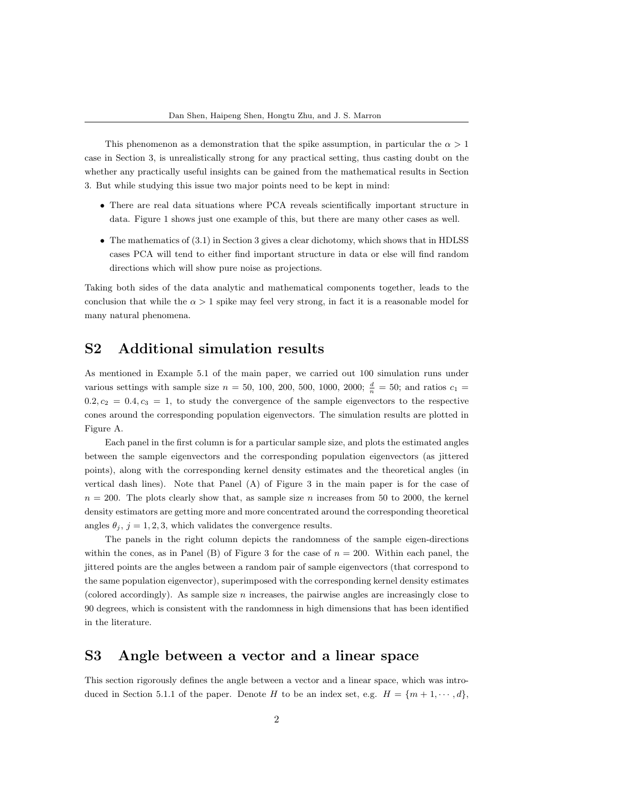This phenomenon as a demonstration that the spike assumption, in particular the  $\alpha > 1$ case in Section 3, is unrealistically strong for any practical setting, thus casting doubt on the whether any practically useful insights can be gained from the mathematical results in Section 3. But while studying this issue two major points need to be kept in mind:

- There are real data situations where PCA reveals scientifically important structure in data. Figure 1 shows just one example of this, but there are many other cases as well.
- The mathematics of (3.1) in Section 3 gives a clear dichotomy, which shows that in HDLSS cases PCA will tend to either find important structure in data or else will find random directions which will show pure noise as projections.

Taking both sides of the data analytic and mathematical components together, leads to the conclusion that while the  $\alpha > 1$  spike may feel very strong, in fact it is a reasonable model for many natural phenomena.

## S2 Additional simulation results

As mentioned in Example 5.1 of the main paper, we carried out 100 simulation runs under various settings with sample size  $n = 50, 100, 200, 500, 1000, 2000; \frac{d}{n} = 50$ ; and ratios  $c_1 =$  $0.2, c_2 = 0.4, c_3 = 1$ , to study the convergence of the sample eigenvectors to the respective cones around the corresponding population eigenvectors. The simulation results are plotted in Figure A.

Each panel in the first column is for a particular sample size, and plots the estimated angles between the sample eigenvectors and the corresponding population eigenvectors (as jittered points), along with the corresponding kernel density estimates and the theoretical angles (in vertical dash lines). Note that Panel (A) of Figure 3 in the main paper is for the case of  $n = 200$ . The plots clearly show that, as sample size n increases from 50 to 2000, the kernel density estimators are getting more and more concentrated around the corresponding theoretical angles  $\theta_j$ ,  $j = 1, 2, 3$ , which validates the convergence results.

The panels in the right column depicts the randomness of the sample eigen-directions within the cones, as in Panel (B) of Figure 3 for the case of  $n = 200$ . Within each panel, the jittered points are the angles between a random pair of sample eigenvectors (that correspond to the same population eigenvector), superimposed with the corresponding kernel density estimates (colored accordingly). As sample size  $n$  increases, the pairwise angles are increasingly close to 90 degrees, which is consistent with the randomness in high dimensions that has been identified in the literature.

## S3 Angle between a vector and a linear space

This section rigorously defines the angle between a vector and a linear space, which was introduced in Section 5.1.1 of the paper. Denote H to be an index set, e.g.  $H = \{m+1, \dots, d\}$ ,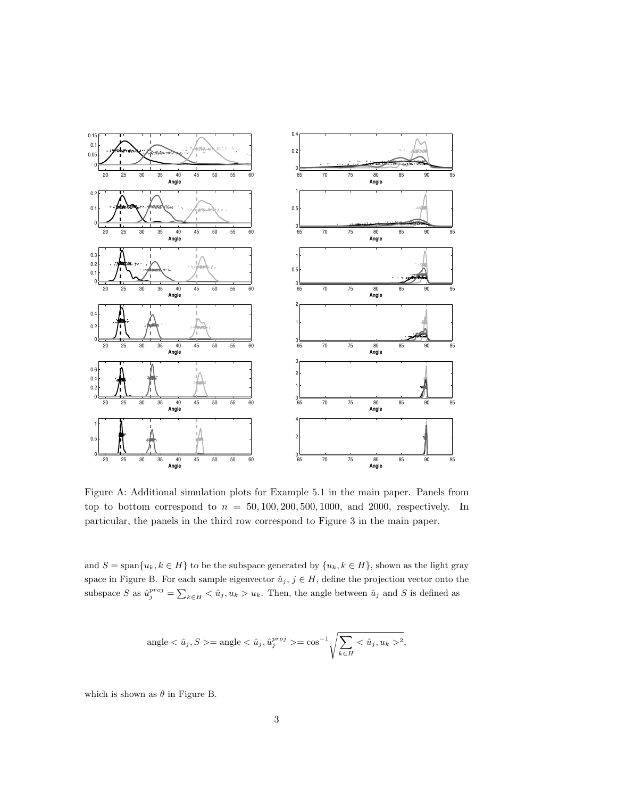

Figure A: Additional simulation plots for Example 5.1 in the main paper. Panels from top to bottom correspond to  $n = 50, 100, 200, 500, 1000$ , and 2000, respectively. In particular, the panels in the third row correspond to Figure 3 in the main paper.

and  $S = \text{span}\{u_k, k \in H\}$  to be the subspace generated by  $\{u_k, k \in H\}$ , shown as the light gray space in Figure B. For each sample eigenvector  $\hat{u}_j, j \in H$ , define the projection vector onto the subspace S as  $\hat{u}^{proj}_{j} = \sum_{k \in H} \langle \hat{u}_j, u_k \rangle u_k$ . Then, the angle between  $\hat{u}_j$  and S is defined as

$$
\text{angle} < \hat{u}_j, S > = \text{angle} < \hat{u}_j, \hat{u}_j^{proj} > = \cos^{-1} \sqrt{\sum_{k \in H} \langle \hat{u}_j, u_k \rangle^2},
$$

which is shown as  $\theta$  in Figure B.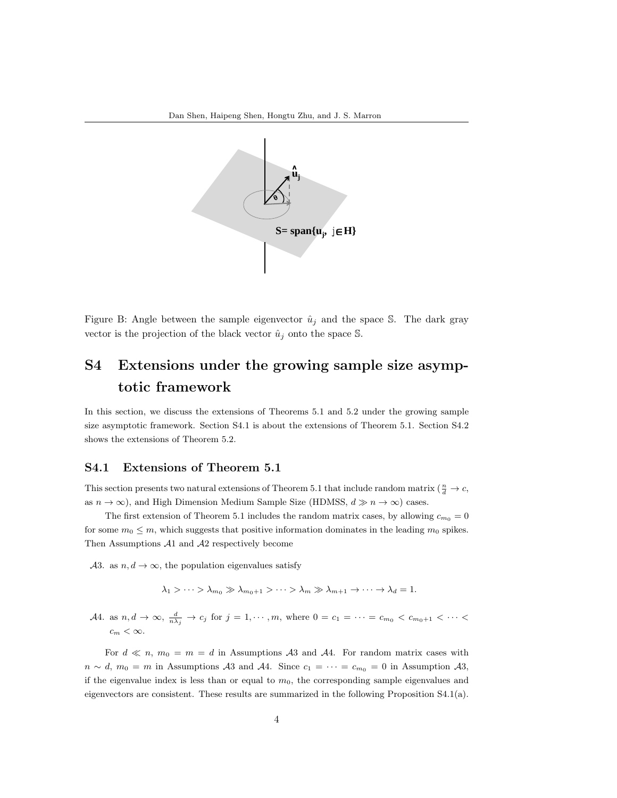

Figure B: Angle between the sample eigenvector  $\hat{u}_j$  and the space S. The dark gray vector is the projection of the black vector  $\hat{u}_j$  onto the space S.

# S4 Extensions under the growing sample size asymptotic framework

In this section, we discuss the extensions of Theorems 5.1 and 5.2 under the growing sample size asymptotic framework. Section S4.1 is about the extensions of Theorem 5.1. Section S4.2 shows the extensions of Theorem 5.2.

#### S4.1 Extensions of Theorem 5.1

This section presents two natural extensions of Theorem 5.1 that include random matrix ( $\frac{n}{d} \to c$ , as  $n \to \infty$ ), and High Dimension Medium Sample Size (HDMSS,  $d \gg n \to \infty$ ) cases.

The first extension of Theorem 5.1 includes the random matrix cases, by allowing  $c_{m_0} = 0$ for some  $m_0 \leq m$ , which suggests that positive information dominates in the leading  $m_0$  spikes. Then Assumptions A1 and A2 respectively become

A3. as  $n, d \rightarrow \infty$ , the population eigenvalues satisfy

 $\lambda_1 > \cdots > \lambda_{m_0} \gg \lambda_{m_0+1} > \cdots > \lambda_m \gg \lambda_{m+1} \to \cdots \to \lambda_d = 1.$ 

A4. as  $n, d \to \infty$ ,  $\frac{d}{n\lambda_j} \to c_j$  for  $j = 1, \dots, m$ , where  $0 = c_1 = \dots = c_{m_0} < c_{m_0+1} < \dots <$  $c_m < \infty$ .

For  $d \ll n$ ,  $m_0 = m = d$  in Assumptions A3 and A4. For random matrix cases with  $n \sim d$ ,  $m_0 = m$  in Assumptions A3 and A4. Since  $c_1 = \cdots = c_{m_0} = 0$  in Assumption A3, if the eigenvalue index is less than or equal to  $m_0$ , the corresponding sample eigenvalues and eigenvectors are consistent. These results are summarized in the following Proposition S4.1(a).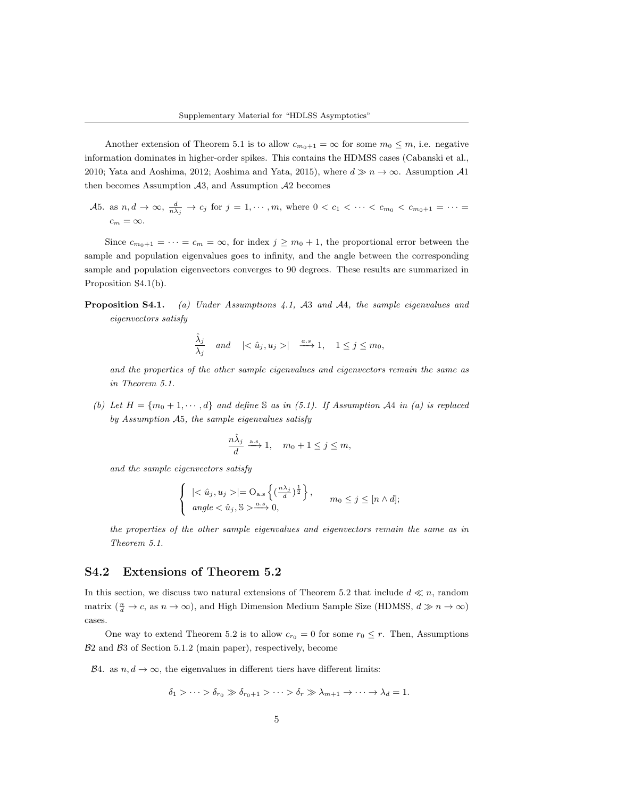Another extension of Theorem 5.1 is to allow  $c_{m_0+1} = \infty$  for some  $m_0 \leq m$ , i.e. negative information dominates in higher-order spikes. This contains the HDMSS cases (Cabanski et al., 2010; Yata and Aoshima, 2012; Aoshima and Yata, 2015), where  $d \gg n \to \infty$ . Assumption A1 then becomes Assumption  $A3$ , and Assumption  $A2$  becomes

A5. as  $n, d \to \infty$ ,  $\frac{d}{n\lambda_j} \to c_j$  for  $j = 1, \dots, m$ , where  $0 < c_1 < \dots < c_{m_0} < c_{m_0+1} = \dots =$  $c_m = \infty$ .

Since  $c_{m_0+1} = \cdots = c_m = \infty$ , for index  $j \ge m_0 + 1$ , the proportional error between the sample and population eigenvalues goes to infinity, and the angle between the corresponding sample and population eigenvectors converges to 90 degrees. These results are summarized in Proposition S4.1(b).

## **Proposition S4.1.** (a) Under Assumptions 4.1, A3 and A4, the sample eigenvalues and eigenvectors satisfy

$$
\frac{\hat{\lambda}_j}{\lambda_j} \quad \text{and} \quad |<\hat{u}_j,u_j>|\quad\mathop{\longrightarrow}\limits^{a.s} 1, \quad 1\leq j\leq m_0,
$$

and the properties of the other sample eigenvalues and eigenvectors remain the same as in Theorem 5.1.

(b) Let  $H = \{m_0 + 1, \dots, d\}$  and define S as in (5.1). If Assumption A4 in (a) is replaced by Assumption A5, the sample eigenvalues satisfy

$$
\frac{n\hat{\lambda}_j}{d} \xrightarrow{\text{a.s}} 1, \quad m_0 + 1 \le j \le m,
$$

and the sample eigenvectors satisfy

$$
\begin{cases} |\langle \hat{u}_j, u_j \rangle| = O_{\text{a.s}}\left\{ \left(\frac{n\lambda_j}{d}\right)^{\frac{1}{2}} \right\}, \\ angle < \hat{u}_j, \mathbb{S} > \xrightarrow{a.s} 0, \end{cases} m_0 \leq j \leq [n \wedge d];
$$

the properties of the other sample eigenvalues and eigenvectors remain the same as in Theorem 5.1.

### S4.2 Extensions of Theorem 5.2

In this section, we discuss two natural extensions of Theorem 5.2 that include  $d \ll n$ , random matrix  $(\frac{n}{d} \to c$ , as  $n \to \infty)$ , and High Dimension Medium Sample Size (HDMSS,  $d \gg n \to \infty$ ) cases.

One way to extend Theorem 5.2 is to allow  $c_{r_0} = 0$  for some  $r_0 \leq r$ . Then, Assumptions  $B2$  and  $B3$  of Section 5.1.2 (main paper), respectively, become

B4. as  $n, d \to \infty$ , the eigenvalues in different tiers have different limits:

$$
\delta_1 > \cdots > \delta_{r_0} \gg \delta_{r_0+1} > \cdots > \delta_r \gg \lambda_{m+1} \to \cdots \to \lambda_d = 1.
$$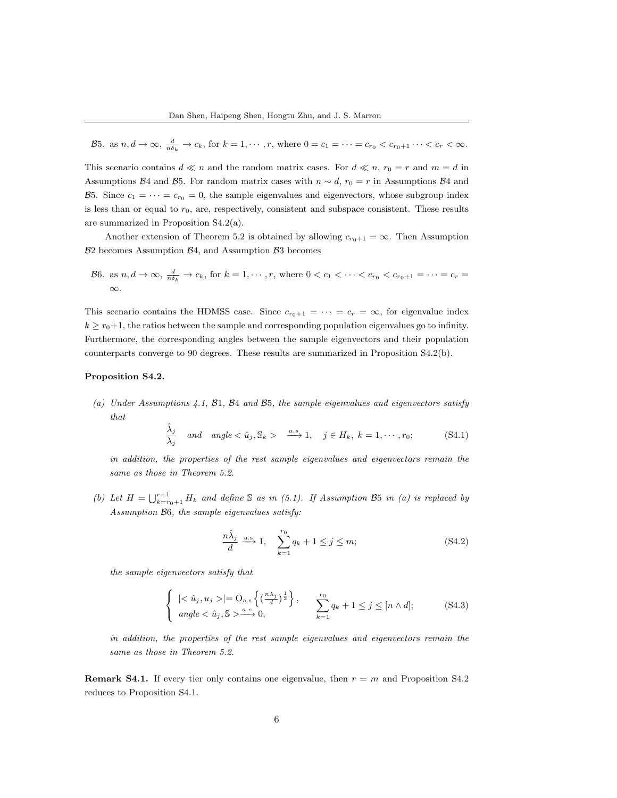B5. as  $n, d \to \infty$ ,  $\frac{d}{n\delta_k} \to c_k$ , for  $k = 1, \cdots, r$ , where  $0 = c_1 = \cdots = c_{r_0} < c_{r_0+1} \cdots < c_r < \infty$ .

This scenario contains  $d \ll n$  and the random matrix cases. For  $d \ll n$ ,  $r_0 = r$  and  $m = d$  in Assumptions B4 and B5. For random matrix cases with  $n \sim d$ ,  $r_0 = r$  in Assumptions B4 and B5. Since  $c_1 = \cdots = c_{r_0} = 0$ , the sample eigenvalues and eigenvectors, whose subgroup index is less than or equal to  $r_0$ , are, respectively, consistent and subspace consistent. These results are summarized in Proposition S4.2(a).

Another extension of Theorem 5.2 is obtained by allowing  $c_{r_0+1} = \infty$ . Then Assumption  $B2$  becomes Assumption  $B4$ , and Assumption  $B3$  becomes

$$
\mathcal{B}6.
$$
 as  $n, d \to \infty$ ,  $\frac{d}{n\delta_k} \to c_k$ , for  $k = 1, \cdots, r$ , where  $0 < c_1 < \cdots < c_{r_0} < c_{r_0+1} = \cdots = c_r = \infty$ .

This scenario contains the HDMSS case. Since  $c_{r_0+1} = \cdots = c_r = \infty$ , for eigenvalue index  $k \geq r_0+1$ , the ratios between the sample and corresponding population eigenvalues go to infinity. Furthermore, the corresponding angles between the sample eigenvectors and their population counterparts converge to 90 degrees. These results are summarized in Proposition S4.2(b).

#### Proposition S4.2.

(a) Under Assumptions 4.1, B1, B4 and B5, the sample eigenvalues and eigenvectors satisfy that

$$
\frac{\hat{\lambda}_j}{\lambda_j} \quad \text{and} \quad \text{angle} < \hat{u}_j, \mathbb{S}_k > \xrightarrow{a.s} 1, \quad j \in H_k, \ k = 1, \cdots, r_0; \tag{S4.1}
$$

in addition, the properties of the rest sample eigenvalues and eigenvectors remain the same as those in Theorem 5.2.

(b) Let  $H = \bigcup_{k=r_0+1}^{r+1} H_k$  and define S as in (5.1). If Assumption B5 in (a) is replaced by Assumption B6, the sample eigenvalues satisfy:

$$
\frac{n\hat{\lambda}_j}{d} \xrightarrow{\text{a.s}} 1, \quad \sum_{k=1}^{r_0} q_k + 1 \le j \le m; \tag{S4.2}
$$

the sample eigenvectors satisfy that

$$
\begin{cases} \ |\langle \hat{u}_j, u_j \rangle| = O_{\text{a.s}}\left\{ \left(\frac{n\lambda_j}{d}\right)^{\frac{1}{2}} \right\}, & \sum_{k=1}^{r_0} q_k + 1 \leq j \leq [n \wedge d]; \\ \text{angle} < \hat{u}_j, \mathbb{S} > \xrightarrow{a.s} 0, \end{cases} \tag{S4.3}
$$

in addition, the properties of the rest sample eigenvalues and eigenvectors remain the same as those in Theorem 5.2.

**Remark S4.1.** If every tier only contains one eigenvalue, then  $r = m$  and Proposition S4.2 reduces to Proposition S4.1.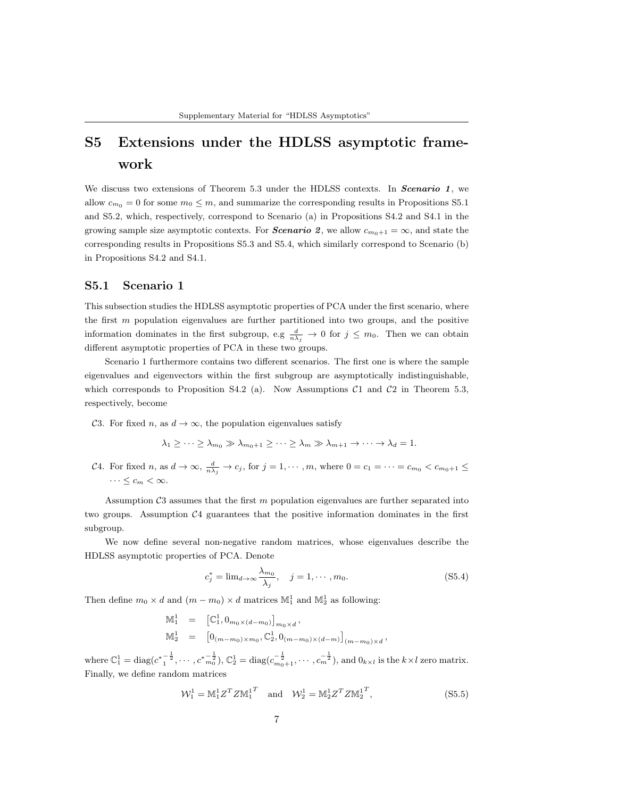# S5 Extensions under the HDLSS asymptotic framework

We discuss two extensions of Theorem 5.3 under the HDLSS contexts. In Scenario 1, we allow  $c_{m_0} = 0$  for some  $m_0 \leq m$ , and summarize the corresponding results in Propositions S5.1 and S5.2, which, respectively, correspond to Scenario (a) in Propositions S4.2 and S4.1 in the growing sample size asymptotic contexts. For **Scenario** 2, we allow  $c_{m_0+1} = \infty$ , and state the corresponding results in Propositions S5.3 and S5.4, which similarly correspond to Scenario (b) in Propositions S4.2 and S4.1.

### S5.1 Scenario 1

This subsection studies the HDLSS asymptotic properties of PCA under the first scenario, where the first  $m$  population eigenvalues are further partitioned into two groups, and the positive information dominates in the first subgroup, e.g  $\frac{d}{n\lambda_j} \to 0$  for  $j \leq m_0$ . Then we can obtain different asymptotic properties of PCA in these two groups.

Scenario 1 furthermore contains two different scenarios. The first one is where the sample eigenvalues and eigenvectors within the first subgroup are asymptotically indistinguishable, which corresponds to Proposition S4.2 (a). Now Assumptions  $C1$  and  $C2$  in Theorem 5.3, respectively, become

C3. For fixed n, as  $d \to \infty$ , the population eigenvalues satisfy

$$
\lambda_1 \geq \cdots \geq \lambda_{m_0} \gg \lambda_{m_0+1} \geq \cdots \geq \lambda_m \gg \lambda_{m+1} \to \cdots \to \lambda_d = 1.
$$

C4. For fixed n, as  $d \to \infty$ ,  $\frac{d}{n\lambda_j} \to c_j$ , for  $j = 1, \dots, m$ , where  $0 = c_1 = \dots = c_{m_0} < c_{m_0+1} \leq$  $\cdots \leq c_m < \infty$ .

Assumption  $\mathcal{C}3$  assumes that the first m population eigenvalues are further separated into two groups. Assumption  $\mathcal{C}_4$  guarantees that the positive information dominates in the first subgroup.

We now define several non-negative random matrices, whose eigenvalues describe the HDLSS asymptotic properties of PCA. Denote

$$
c_j^* = \lim_{d \to \infty} \frac{\lambda_{m_0}}{\lambda_j}, \quad j = 1, \cdots, m_0.
$$
 (S5.4)

Then define  $m_0 \times d$  and  $(m - m_0) \times d$  matrices  $\mathbb{M}_1^1$  and  $\mathbb{M}_2^1$  as following:

$$
\begin{array}{rcl}\n\mathbb{M}_1^1 & = & \left[ \mathbb{C}_1^1, 0_{m_0 \times (d-m_0)} \right]_{m_0 \times d}, \\
\mathbb{M}_2^1 & = & \left[ 0_{(m-m_0) \times m_0}, \mathbb{C}_2^1, 0_{(m-m_0) \times (d-m)} \right]_{(m-m_0) \times d},\n\end{array}
$$

where  $\mathbb{C}_1^1 = \text{diag}(c^* \frac{1}{1^2}, \dots, c^* \frac{1}{m_0^2}), \mathbb{C}_2^1 = \text{diag}(c_{m_0+1}^{-\frac{1}{2}}, \dots, c_m^{-\frac{1}{2}}),$  and  $0_{k \times l}$  is the  $k \times l$  zero matrix. Finally, we define random matrices

$$
\mathcal{W}_1^1 = M_1^1 Z^T Z M_1^{1T} \text{ and } \mathcal{W}_2^1 = M_2^1 Z^T Z M_2^{1T}, \qquad (S5.5)
$$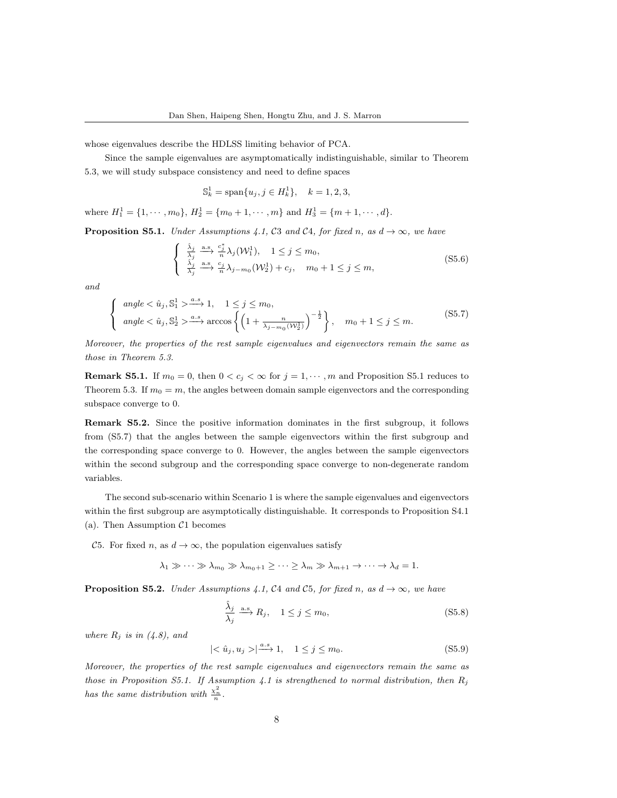whose eigenvalues describe the HDLSS limiting behavior of PCA.

Since the sample eigenvalues are asymptomatically indistinguishable, similar to Theorem 5.3, we will study subspace consistency and need to define spaces

$$
\mathbb{S}_k^1 = \text{span}\{u_j, j \in H_k^1\}, \quad k = 1, 2, 3,
$$

where  $H_1^1 = \{1, \dots, m_0\}, H_2^1 = \{m_0 + 1, \dots, m\}$  and  $H_3^1 = \{m + 1, \dots, d\}.$ 

**Proposition S5.1.** Under Assumptions 4.1, C3 and C4, for fixed n, as  $d \rightarrow \infty$ , we have

$$
\begin{cases} \n\frac{\hat{\lambda}_j}{\lambda_j} \xrightarrow{\text{a.s.}} \frac{c_j^*}{n} \lambda_j(\mathcal{W}_1^1), \quad 1 \leq j \leq m_0, \\
\frac{\hat{\lambda}_j}{\lambda_j} \xrightarrow{\text{a.s.}} \frac{c_j}{n} \lambda_{j-m_0}(\mathcal{W}_2^1) + c_j, \quad m_0 + 1 \leq j \leq m,\n\end{cases} \tag{S5.6}
$$

and

$$
\begin{cases}\n\angle \hat{u}_j, \mathbb{S}_1^1 > \xrightarrow{a.s} 1, \quad 1 \le j \le m_0, \\
\angle \hat{u}_j, \mathbb{S}_2^1 > \xrightarrow{a.s} \arccos \left\{ \left( 1 + \frac{n}{\lambda_j - m_0(W_2^1)} \right)^{-\frac{1}{2}} \right\}, \quad m_0 + 1 \le j \le m.\n\end{cases} \tag{S5.7}
$$

Moreover, the properties of the rest sample eigenvalues and eigenvectors remain the same as those in Theorem 5.3.

**Remark S5.1.** If  $m_0 = 0$ , then  $0 < c_j < \infty$  for  $j = 1, \dots, m$  and Proposition S5.1 reduces to Theorem 5.3. If  $m_0 = m$ , the angles between domain sample eigenvectors and the corresponding subspace converge to 0.

Remark S5.2. Since the positive information dominates in the first subgroup, it follows from (S5.7) that the angles between the sample eigenvectors within the first subgroup and the corresponding space converge to 0. However, the angles between the sample eigenvectors within the second subgroup and the corresponding space converge to non-degenerate random variables.

The second sub-scenario within Scenario 1 is where the sample eigenvalues and eigenvectors within the first subgroup are asymptotically distinguishable. It corresponds to Proposition S4.1 (a). Then Assumption  $C1$  becomes

C5. For fixed n, as  $d \to \infty$ , the population eigenvalues satisfy

 $\lambda_1 \gg \cdots \gg \lambda_{m_0} \gg \lambda_{m_0+1} \geq \cdots \geq \lambda_m \gg \lambda_{m+1} \to \cdots \to \lambda_d = 1.$ 

**Proposition S5.2.** Under Assumptions 4.1, C4 and C5, for fixed n, as  $d \rightarrow \infty$ , we have

$$
\frac{\hat{\lambda}_j}{\lambda_j} \xrightarrow{\text{a.s.}} R_j, \quad 1 \le j \le m_0,
$$
\n(S5.8)

where  $R_i$  is in (4.8), and

$$
|\langle \hat{u}_j, u_j \rangle| \stackrel{a.s}{\longrightarrow} 1, \quad 1 \le j \le m_0. \tag{S5.9}
$$

Moreover, the properties of the rest sample eigenvalues and eigenvectors remain the same as those in Proposition S5.1. If Assumption 4.1 is strengthened to normal distribution, then  $R_i$ has the same distribution with  $\frac{\chi_n^2}{n}$ .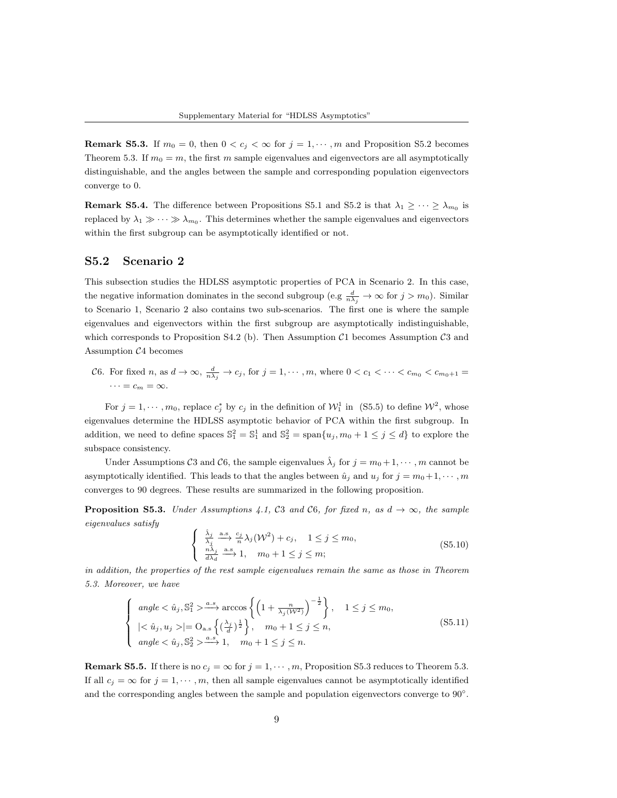**Remark S5.3.** If  $m_0 = 0$ , then  $0 < c_j < \infty$  for  $j = 1, \dots, m$  and Proposition S5.2 becomes Theorem 5.3. If  $m_0 = m$ , the first m sample eigenvalues and eigenvectors are all asymptotically distinguishable, and the angles between the sample and corresponding population eigenvectors converge to 0.

**Remark S5.4.** The difference between Propositions S5.1 and S5.2 is that  $\lambda_1 \geq \cdots \geq \lambda_{m_0}$  is replaced by  $\lambda_1 \gg \cdots \gg \lambda_{m_0}$ . This determines whether the sample eigenvalues and eigenvectors within the first subgroup can be asymptotically identified or not.

## S5.2 Scenario 2

This subsection studies the HDLSS asymptotic properties of PCA in Scenario 2. In this case, the negative information dominates in the second subgroup (e.g  $\frac{d}{n\lambda_j} \to \infty$  for  $j > m_0$ ). Similar to Scenario 1, Scenario 2 also contains two sub-scenarios. The first one is where the sample eigenvalues and eigenvectors within the first subgroup are asymptotically indistinguishable, which corresponds to Proposition S4.2 (b). Then Assumption  $C1$  becomes Assumption  $C3$  and Assumption C4 becomes

C6. For fixed n, as  $d \to \infty$ ,  $\frac{d}{n\lambda_j} \to c_j$ , for  $j = 1, \dots, m$ , where  $0 < c_1 < \dots < c_{m_0} < c_{m_0+1} =$  $\cdots = c_m = \infty.$ 

For  $j = 1, \dots, m_0$ , replace  $c_j^*$  by  $c_j$  in the definition of  $\mathcal{W}_1^1$  in (S5.5) to define  $\mathcal{W}^2$ , whose eigenvalues determine the HDLSS asymptotic behavior of PCA within the first subgroup. In addition, we need to define spaces  $\mathbb{S}_1^2 = \mathbb{S}_1^1$  and  $\mathbb{S}_2^2 = \text{span}\{u_j, m_0 + 1 \le j \le d\}$  to explore the subspace consistency.

Under Assumptions C3 and C6, the sample eigenvalues  $\hat{\lambda}_j$  for  $j = m_0 + 1, \cdots, m$  cannot be asymptotically identified. This leads to that the angles between  $\hat{u}_i$  and  $u_i$  for  $j = m_0+1, \cdots, m$ converges to 90 degrees. These results are summarized in the following proposition.

**Proposition S5.3.** Under Assumptions 4.1, C3 and C6, for fixed n, as  $d \rightarrow \infty$ , the sample eigenvalues satisfy

$$
\begin{cases} \n\frac{\hat{\lambda}_j}{\lambda_j} \xrightarrow{\text{a.s}} \frac{c_j}{n} \lambda_j(\mathcal{W}^2) + c_j, \quad 1 \le j \le m_0, \\
\frac{n\hat{\lambda}_j}{d\lambda_d} \xrightarrow{\text{a.s}} 1, \quad m_0 + 1 \le j \le m;\n\end{cases} \tag{S5.10}
$$

in addition, the properties of the rest sample eigenvalues remain the same as those in Theorem 5.3. Moreover, we have

$$
\begin{cases}\n\angle \hat{u}_j, \mathbb{S}_1^2 > \xrightarrow{a.s} \arccos\left\{ \left( 1 + \frac{n}{\lambda_j(\mathcal{W}^2)} \right)^{-\frac{1}{2}} \right\}, \quad 1 \leq j \leq m_0, \\
\begin{cases}\n|\langle \hat{u}_j, u_j \rangle| = \mathcal{O}_{\text{a.s}} \left\{ \left( \frac{\lambda_j}{d} \right)^{\frac{1}{2}} \right\}, & m_0 + 1 \leq j \leq n, \\
\angle \hat{u}_j, \mathbb{S}_2^2 > \xrightarrow{a.s} 1, & m_0 + 1 \leq j \leq n.\n\end{cases}\n\end{cases}\n\tag{S5.11}
$$

**Remark S5.5.** If there is no  $c_j = \infty$  for  $j = 1, \dots, m$ , Proposition S5.3 reduces to Theorem 5.3. If all  $c_j = \infty$  for  $j = 1, \dots, m$ , then all sample eigenvalues cannot be asymptotically identified and the corresponding angles between the sample and population eigenvectors converge to 90°.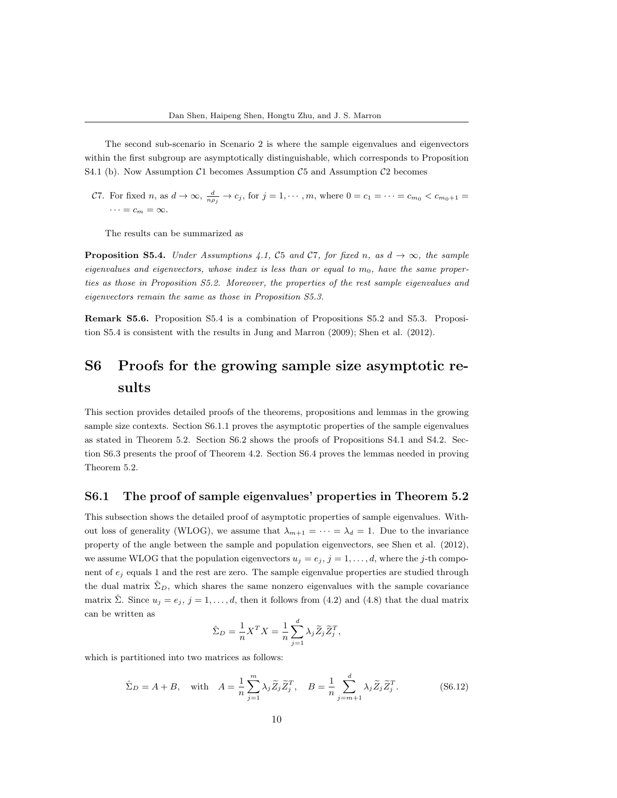The second sub-scenario in Scenario 2 is where the sample eigenvalues and eigenvectors within the first subgroup are asymptotically distinguishable, which corresponds to Proposition S4.1 (b). Now Assumption  $C1$  becomes Assumption  $C5$  and Assumption  $C2$  becomes

C7. For fixed n, as  $d \to \infty$ ,  $\frac{d}{n\rho_j} \to c_j$ , for  $j = 1, \dots, m$ , where  $0 = c_1 = \dots = c_{m_0} < c_{m_0+1}$  $\cdots = c_m = \infty.$ 

The results can be summarized as

**Proposition S5.4.** Under Assumptions 4.1, C5 and C7, for fixed n, as  $d \rightarrow \infty$ , the sample eigenvalues and eigenvectors, whose index is less than or equal to  $m_0$ , have the same properties as those in Proposition S5.2. Moreover, the properties of the rest sample eigenvalues and eigenvectors remain the same as those in Proposition S5.3.

Remark S5.6. Proposition S5.4 is a combination of Propositions S5.2 and S5.3. Proposition S5.4 is consistent with the results in Jung and Marron (2009); Shen et al. (2012).

# S6 Proofs for the growing sample size asymptotic results

This section provides detailed proofs of the theorems, propositions and lemmas in the growing sample size contexts. Section S6.1.1 proves the asymptotic properties of the sample eigenvalues as stated in Theorem 5.2. Section S6.2 shows the proofs of Propositions S4.1 and S4.2. Section S6.3 presents the proof of Theorem 4.2. Section S6.4 proves the lemmas needed in proving Theorem 5.2.

### S6.1 The proof of sample eigenvalues' properties in Theorem 5.2

This subsection shows the detailed proof of asymptotic properties of sample eigenvalues. Without loss of generality (WLOG), we assume that  $\lambda_{m+1} = \cdots = \lambda_d = 1$ . Due to the invariance property of the angle between the sample and population eigenvectors, see Shen et al. (2012), we assume WLOG that the population eigenvectors  $u_j = e_j$ ,  $j = 1, \ldots, d$ , where the j-th component of  $e_i$  equals 1 and the rest are zero. The sample eigenvalue properties are studied through the dual matrix  $\Sigma_D$ , which shares the same nonzero eigenvalues with the sample covariance matrix  $\hat{\Sigma}$ . Since  $u_j = e_j$ ,  $j = 1, ..., d$ , then it follows from (4.2) and (4.8) that the dual matrix can be written as

$$
\hat{\Sigma}_D = \frac{1}{n} X^T X = \frac{1}{n} \sum_{j=1}^d \lambda_j \widetilde{Z}_j \widetilde{Z}_j^T,
$$

which is partitioned into two matrices as follows:

$$
\hat{\Sigma}_D = A + B, \quad \text{with} \quad A = \frac{1}{n} \sum_{j=1}^m \lambda_j \widetilde{Z}_j \widetilde{Z}_j^T, \quad B = \frac{1}{n} \sum_{j=m+1}^d \lambda_j \widetilde{Z}_j \widetilde{Z}_j^T. \tag{S6.12}
$$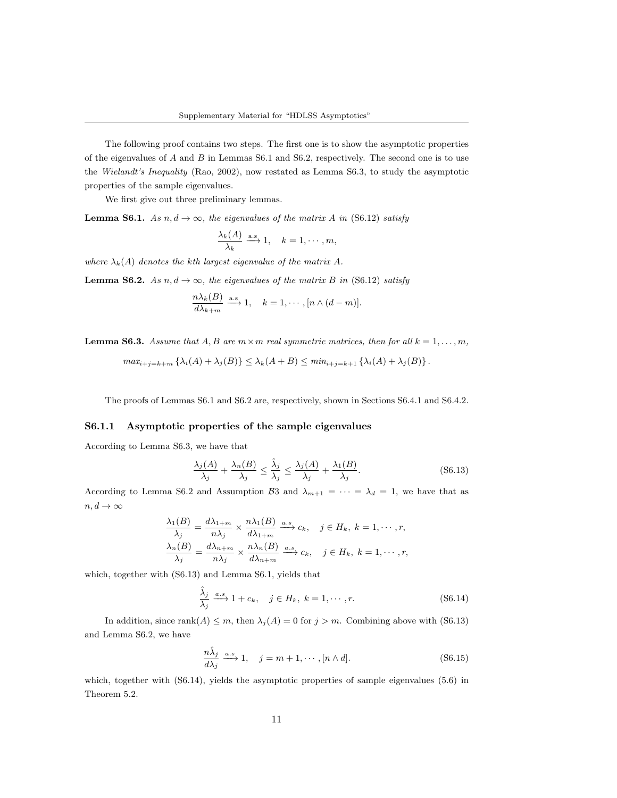The following proof contains two steps. The first one is to show the asymptotic properties of the eigenvalues of  $A$  and  $B$  in Lemmas S6.1 and S6.2, respectively. The second one is to use the Wielandt's Inequality (Rao, 2002), now restated as Lemma S6.3, to study the asymptotic properties of the sample eigenvalues.

We first give out three preliminary lemmas.

**Lemma S6.1.** As  $n, d \rightarrow \infty$ , the eigenvalues of the matrix A in (S6.12) satisfy

$$
\frac{\lambda_k(A)}{\lambda_k} \xrightarrow{\text{a.s}} 1, \quad k = 1, \cdots, m,
$$

where  $\lambda_k(A)$  denotes the kth largest eigenvalue of the matrix A.

**Lemma S6.2.** As  $n, d \rightarrow \infty$ , the eigenvalues of the matrix B in (S6.12) satisfy

$$
\frac{n\lambda_k(B)}{d\lambda_{k+m}} \xrightarrow{\text{a.s.}} 1, \quad k = 1, \cdots, [n \wedge (d-m)].
$$

**Lemma S6.3.** Assume that A, B are  $m \times m$  real symmetric matrices, then for all  $k = 1, ..., m$ ,

$$
max_{i+j=k+m} \left\{ \lambda_i(A) + \lambda_j(B) \right\} \leq \lambda_k(A+B) \leq min_{i+j=k+1} \left\{ \lambda_i(A) + \lambda_j(B) \right\}.
$$

The proofs of Lemmas S6.1 and S6.2 are, respectively, shown in Sections S6.4.1 and S6.4.2.

#### S6.1.1 Asymptotic properties of the sample eigenvalues

According to Lemma S6.3, we have that

$$
\frac{\lambda_j(A)}{\lambda_j} + \frac{\lambda_n(B)}{\lambda_j} \le \frac{\hat{\lambda}_j}{\lambda_j} \le \frac{\lambda_j(A)}{\lambda_j} + \frac{\lambda_1(B)}{\lambda_j}.
$$
 (S6.13)

According to Lemma S6.2 and Assumption B3 and  $\lambda_{m+1} = \cdots = \lambda_d = 1$ , we have that as  $n, d \rightarrow \infty$ 

$$
\frac{\lambda_1(B)}{\lambda_j} = \frac{d\lambda_{1+m}}{n\lambda_j} \times \frac{n\lambda_1(B)}{d\lambda_{1+m}} \xrightarrow{a.s} c_k, \quad j \in H_k, \ k = 1, \cdots, r,
$$
  

$$
\frac{\lambda_n(B)}{\lambda_j} = \frac{d\lambda_{n+m}}{n\lambda_j} \times \frac{n\lambda_n(B)}{d\lambda_{n+m}} \xrightarrow{a.s} c_k, \quad j \in H_k, \ k = 1, \cdots, r,
$$

which, together with (S6.13) and Lemma S6.1, yields that

$$
\frac{\hat{\lambda}_j}{\lambda_j} \xrightarrow{a.s} 1 + c_k, \quad j \in H_k, \ k = 1, \cdots, r.
$$
 (S6.14)

In addition, since rank $(A) \leq m$ , then  $\lambda_j(A) = 0$  for  $j > m$ . Combining above with (S6.13) and Lemma S6.2, we have

$$
\frac{n\hat{\lambda}_j}{d\lambda_j} \xrightarrow{a.s} 1, \quad j = m+1, \cdots, [n \wedge d].
$$
 (S6.15)

which, together with  $(S6.14)$ , yields the asymptotic properties of sample eigenvalues  $(5.6)$  in Theorem 5.2.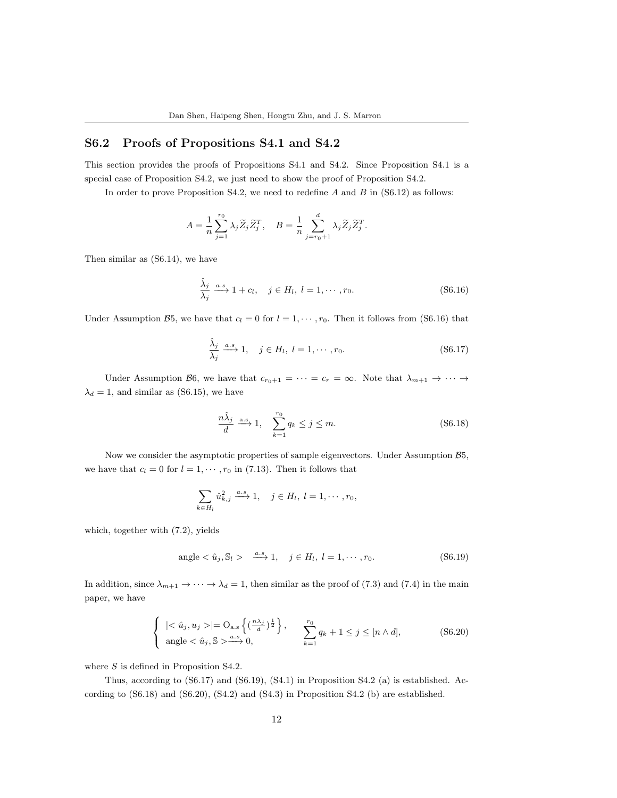## S6.2 Proofs of Propositions S4.1 and S4.2

This section provides the proofs of Propositions S4.1 and S4.2. Since Proposition S4.1 is a special case of Proposition S4.2, we just need to show the proof of Proposition S4.2.

In order to prove Proposition S4.2, we need to redefine  $A$  and  $B$  in (S6.12) as follows:

$$
A = \frac{1}{n} \sum_{j=1}^{r_0} \lambda_j \widetilde{Z}_j \widetilde{Z}_j^T, \quad B = \frac{1}{n} \sum_{j=r_0+1}^d \lambda_j \widetilde{Z}_j \widetilde{Z}_j^T.
$$

Then similar as (S6.14), we have

$$
\frac{\hat{\lambda}_j}{\lambda_j} \xrightarrow{a.s} 1 + c_l, \quad j \in H_l, \ l = 1, \cdots, r_0.
$$
\n(S6.16)

Under Assumption B5, we have that  $c_l = 0$  for  $l = 1, \dots, r_0$ . Then it follows from (S6.16) that

$$
\frac{\hat{\lambda}_j}{\lambda_j} \xrightarrow{a.s} 1, \quad j \in H_l, \ l = 1, \cdots, r_0.
$$
\n(S6.17)

Under Assumption B6, we have that  $c_{r_0+1} = \cdots = c_r = \infty$ . Note that  $\lambda_{m+1} \to \cdots \to$  $\lambda_d = 1$ , and similar as (S6.15), we have

$$
\frac{n\hat{\lambda}_j}{d} \xrightarrow{\text{a.s}} 1, \quad \sum_{k=1}^{r_0} q_k \le j \le m. \tag{S6.18}
$$

Now we consider the asymptotic properties of sample eigenvectors. Under Assumption B5, we have that  $c_l = 0$  for  $l = 1, \dots, r_0$  in (7.13). Then it follows that

$$
\sum_{k\in H_l} \hat{u}_{k,j}^2 \xrightarrow{a.s} 1, \quad j \in H_l, l = 1, \cdots, r_0,
$$

which, together with (7.2), yields

$$
angle < \hat{u}_j, S_l > \xrightarrow{a.s} 1, \quad j \in H_l, l = 1, \cdots, r_0.
$$
\n(S6.19)

In addition, since  $\lambda_{m+1} \to \cdots \to \lambda_d = 1$ , then similar as the proof of (7.3) and (7.4) in the main paper, we have

$$
\begin{cases} \n|<\hat{u}_j, u_j>|=O_{\text{a.s}}\left\{(\frac{n\lambda_j}{d})^{\frac{1}{2}}\right\}, & \sum_{k=1}^{r_0} q_k+1 \leq j \leq [n \wedge d],\\ \n\text{angle} <\hat{u}_j, \mathbb{S} > \xrightarrow{a.s} 0, & \sum_{k=1}^{r_0} q_k+1 \leq j \leq [n \wedge d], \n\end{cases} \tag{S6.20}
$$

where S is defined in Proposition S4.2.

Thus, according to (S6.17) and (S6.19), (S4.1) in Proposition S4.2 (a) is established. According to (S6.18) and (S6.20), (S4.2) and (S4.3) in Proposition S4.2 (b) are established.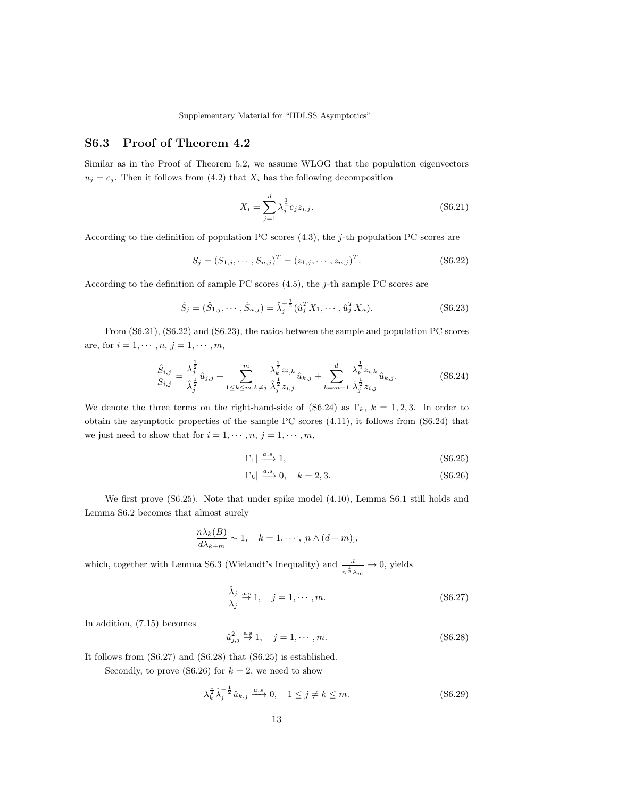## S6.3 Proof of Theorem 4.2

Similar as in the Proof of Theorem 5.2, we assume WLOG that the population eigenvectors  $u_j = e_j$ . Then it follows from (4.2) that  $X_i$  has the following decomposition

$$
X_i = \sum_{j=1}^{d} \lambda_j^{\frac{1}{2}} e_j z_{i,j}.
$$
 (S6.21)

According to the definition of population PC scores (4.3), the j-th population PC scores are

$$
S_j = (S_{1,j}, \cdots, S_{n,j})^T = (z_{1,j}, \cdots, z_{n,j})^T.
$$
 (S6.22)

According to the definition of sample PC scores  $(4.5)$ , the j-th sample PC scores are

$$
\hat{S}_j = (\hat{S}_{1,j}, \cdots, \hat{S}_{n,j}) = \hat{\lambda}_j^{-\frac{1}{2}} (\hat{u}_j^T X_1, \cdots, \hat{u}_j^T X_n).
$$
 (S6.23)

From (S6.21), (S6.22) and (S6.23), the ratios between the sample and population PC scores are, for  $i = 1, \dots, n, j = 1, \dots, m$ ,

$$
\frac{\hat{S}_{i,j}}{S_{i,j}} = \frac{\lambda_j^{\frac{1}{2}}}{\lambda_j^{\frac{1}{2}}} \hat{u}_{j,j} + \sum_{1 \le k \le m, k \ne j}^{m} \frac{\lambda_k^{\frac{1}{2}} z_{i,k}}{\lambda_j^{\frac{1}{2}} z_{i,j}} \hat{u}_{k,j} + \sum_{k=m+1}^{d} \frac{\lambda_k^{\frac{1}{2}} z_{i,k}}{\lambda_j^{\frac{1}{2}} z_{i,j}} \hat{u}_{k,j}.
$$
 (S6.24)

We denote the three terms on the right-hand-side of (S6.24) as  $\Gamma_k$ ,  $k = 1, 2, 3$ . In order to obtain the asymptotic properties of the sample PC scores (4.11), it follows from (S6.24) that we just need to show that for  $i = 1, \dots, n, j = 1, \dots, m$ ,

$$
|\Gamma_1| \xrightarrow{a.s} 1,\tag{S6.25}
$$

$$
|\Gamma_k| \xrightarrow{a.s} 0, \quad k = 2, 3. \tag{S6.26}
$$

We first prove (S6.25). Note that under spike model (4.10), Lemma S6.1 still holds and Lemma S6.2 becomes that almost surely

$$
\frac{n\lambda_k(B)}{d\lambda_{k+m}} \sim 1, \quad k = 1, \cdots, [n \wedge (d-m)],
$$

which, together with Lemma S6.3 (Wielandt's Inequality) and  $\frac{d}{n^{\frac{1}{2}}\lambda_m} \to 0$ , yields

$$
\frac{\hat{\lambda}_j}{\lambda_j} \stackrel{\text{a.s}}{\rightarrow} 1, \quad j = 1, \cdots, m. \tag{S6.27}
$$

In addition, (7.15) becomes

$$
\hat{u}_{j,j}^2 \stackrel{\text{a.s}}{\to} 1, \quad j = 1, \cdots, m. \tag{S6.28}
$$

It follows from (S6.27) and (S6.28) that (S6.25) is established.

Secondly, to prove (S6.26) for  $k = 2$ , we need to show

$$
\lambda_k^{\frac{1}{2}} \hat{\lambda}_j^{-\frac{1}{2}} \hat{u}_{k,j} \xrightarrow{a.s} 0, \quad 1 \le j \ne k \le m.
$$
 (S6.29)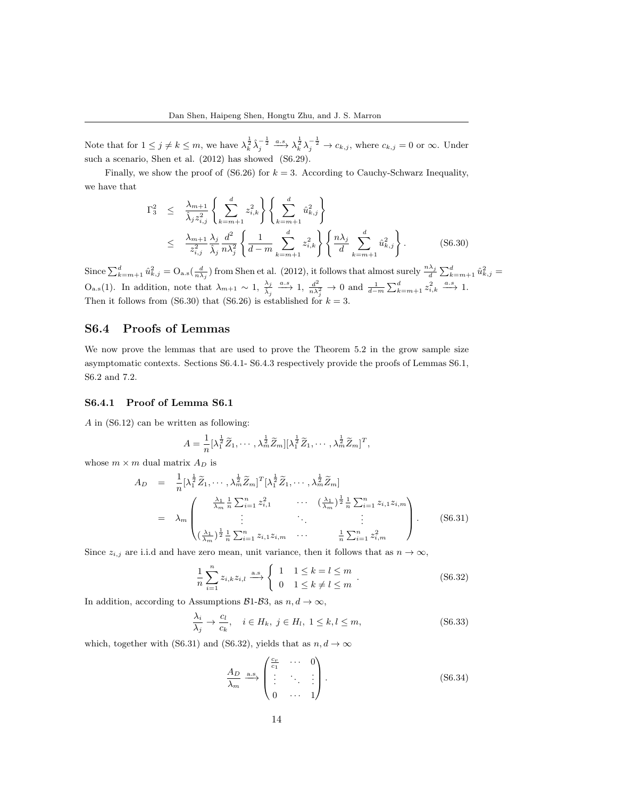Note that for  $1 \leq j \neq k \leq m$ , we have  $\lambda_k^{\frac{1}{2}} \hat{\lambda}_j^{-\frac{1}{2}} \xrightarrow{a.s} \lambda_k^{\frac{1}{2}} \lambda_j^{-\frac{1}{2}} \to c_{k,j}$ , where  $c_{k,j} = 0$  or  $\infty$ . Under such a scenario, Shen et al. (2012) has showed (S6.29).

Finally, we show the proof of  $(S6.26)$  for  $k = 3$ . According to Cauchy-Schwarz Inequality, we have that

$$
\Gamma_3^2 \leq \frac{\lambda_{m+1}}{\hat{\lambda}_j z_{i,j}^2} \left\{ \sum_{k=m+1}^d z_{i,k}^2 \right\} \left\{ \sum_{k=m+1}^d \hat{u}_{k,j}^2 \right\} \n\leq \frac{\lambda_{m+1}}{z_{i,j}^2} \frac{\lambda_j}{\hat{\lambda}_j} \frac{d^2}{n \lambda_j^2} \left\{ \frac{1}{d-m} \sum_{k=m+1}^d z_{i,k}^2 \right\} \left\{ \frac{n \lambda_j}{d} \sum_{k=m+1}^d \hat{u}_{k,j}^2 \right\}.
$$
\n(S6.30)

Since  $\sum_{k=m+1}^{d} \hat{u}_{k,j}^2 = O_{\text{a.s}}(\frac{d}{n\lambda_j})$  from Shen et al. (2012), it follows that almost surely  $\frac{n\lambda_j}{d} \sum_{k=m+1}^{d} \hat{u}_{k,j}^2 =$  $O_{a.s}(1)$ . In addition, note that  $\lambda_{m+1} \sim 1$ ,  $\frac{\lambda_j}{\lambda_j} \xrightarrow{a.s} 1$ ,  $\frac{d^2}{n\lambda_j^2} \to 0$  and  $\frac{1}{d-m} \sum_{k=m+1}^d z_{i,k}^2 \xrightarrow{a.s} 1$ . Then it follows from (S6.30) that (S6.26) is established for  $k = 3$ .

## S6.4 Proofs of Lemmas

We now prove the lemmas that are used to prove the Theorem 5.2 in the grow sample size asymptomatic contexts. Sections S6.4.1- S6.4.3 respectively provide the proofs of Lemmas S6.1, S6.2 and 7.2.

#### S6.4.1 Proof of Lemma S6.1

A in (S6.12) can be written as following:

$$
A = \frac{1}{n} \left[ \lambda_1^{\frac{1}{2}} \widetilde{Z}_1, \cdots, \lambda_m^{\frac{1}{2}} \widetilde{Z}_m \right] \left[ \lambda_1^{\frac{1}{2}} \widetilde{Z}_1, \cdots, \lambda_m^{\frac{1}{2}} \widetilde{Z}_m \right]^T,
$$

whose  $m \times m$  dual matrix  $A_D$  is

$$
A_D = \frac{1}{n} [\lambda_1^{\frac{1}{2}} \widetilde{Z}_1, \cdots, \lambda_m^{\frac{1}{2}} \widetilde{Z}_m]^T [\lambda_1^{\frac{1}{2}} \widetilde{Z}_1, \cdots, \lambda_m^{\frac{1}{2}} \widetilde{Z}_m]
$$
  
\n
$$
= \lambda_m \begin{pmatrix} \frac{\lambda_1}{\lambda_m} \frac{1}{n} \sum_{i=1}^n z_{i,1}^2 & \cdots & (\frac{\lambda_1}{\lambda_m})^{\frac{1}{2}} \frac{1}{n} \sum_{i=1}^n z_{i,1} z_{i,m} \\ \vdots & \ddots & \vdots \\ (\frac{\lambda_1}{\lambda_m})^{\frac{1}{2}} \frac{1}{n} \sum_{i=1}^n z_{i,1} z_{i,m} & \cdots & \frac{1}{n} \sum_{i=1}^n z_{i,m}^2 \end{pmatrix}.
$$
 (S6.31)

Since  $z_{i,j}$  are i.i.d and have zero mean, unit variance, then it follows that as  $n \to \infty$ ,

$$
\frac{1}{n}\sum_{i=1}^{n}z_{i,k}z_{i,l} \xrightarrow{\text{a.s}} \begin{cases} 1 & 1 \le k=l \le m \\ 0 & 1 \le k \ne l \le m \end{cases} \tag{S6.32}
$$

In addition, according to Assumptions  $B1-B3$ , as  $n, d \rightarrow \infty$ ,

$$
\frac{\lambda_i}{\lambda_j} \to \frac{c_l}{c_k}, \quad i \in H_k, \ j \in H_l, \ 1 \le k, l \le m,
$$
\n(S6.33)

which, together with (S6.31) and (S6.32), yields that as  $n, d \rightarrow \infty$ 

$$
\frac{A_D}{\lambda_m} \xrightarrow{\text{a.s.}} \begin{pmatrix} \frac{c_r}{c_1} & \cdots & 0 \\ \vdots & \ddots & \vdots \\ 0 & \cdots & 1 \end{pmatrix} . \tag{S6.34}
$$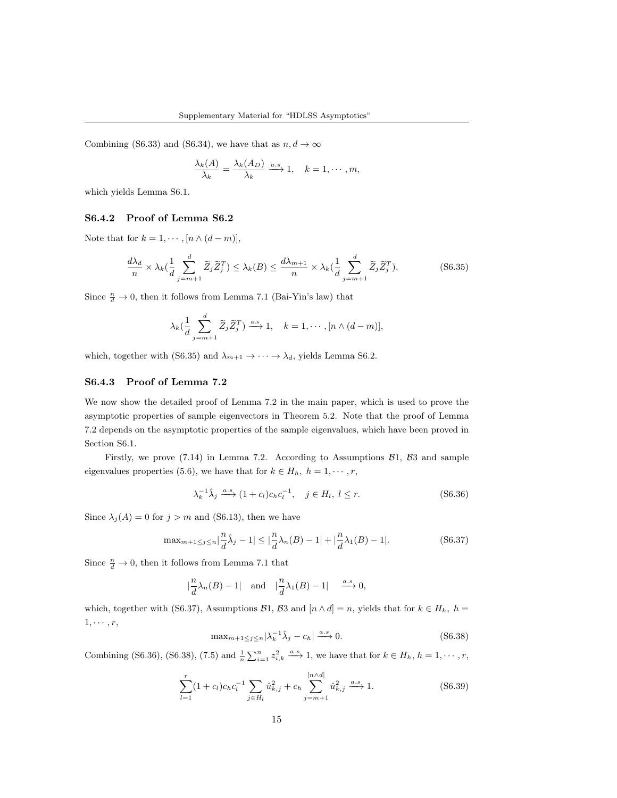Combining (S6.33) and (S6.34), we have that as  $n, d \to \infty$ 

$$
\frac{\lambda_k(A)}{\lambda_k} = \frac{\lambda_k(A_D)}{\lambda_k} \xrightarrow{a.s} 1, \quad k = 1, \cdots, m,
$$

which yields Lemma S6.1.

#### S6.4.2 Proof of Lemma S6.2

Note that for  $k = 1, \dots, [n \wedge (d - m)],$ 

$$
\frac{d\lambda_d}{n} \times \lambda_k \left(\frac{1}{d} \sum_{j=m+1}^d \widetilde{Z}_j \widetilde{Z}_j^T\right) \le \lambda_k(B) \le \frac{d\lambda_{m+1}}{n} \times \lambda_k \left(\frac{1}{d} \sum_{j=m+1}^d \widetilde{Z}_j \widetilde{Z}_j^T\right). \tag{S6.35}
$$

Since  $\frac{n}{d} \to 0$ , then it follows from Lemma 7.1 (Bai-Yin's law) that

$$
\lambda_k(\frac{1}{d}\sum_{j=m+1}^d \widetilde{Z}_j \widetilde{Z}_j^T) \stackrel{\text{a.s.}}{\longrightarrow} 1, \quad k = 1, \cdots, [n \wedge (d-m)],
$$

which, together with (S6.35) and  $\lambda_{m+1} \to \cdots \to \lambda_d$ , yields Lemma S6.2.

#### S6.4.3 Proof of Lemma 7.2

We now show the detailed proof of Lemma 7.2 in the main paper, which is used to prove the asymptotic properties of sample eigenvectors in Theorem 5.2. Note that the proof of Lemma 7.2 depends on the asymptotic properties of the sample eigenvalues, which have been proved in Section S6.1.

Firstly, we prove  $(7.14)$  in Lemma 7.2. According to Assumptions  $\mathcal{B}1$ ,  $\mathcal{B}3$  and sample eigenvalues properties (5.6), we have that for  $k \in H_h$ ,  $h = 1, \dots, r$ ,

$$
\lambda_k^{-1} \hat{\lambda}_j \xrightarrow{a.s} (1+c_l)c_h c_l^{-1}, \quad j \in H_l, l \le r.
$$
 (S6.36)

Since  $\lambda_j(A) = 0$  for  $j > m$  and (S6.13), then we have

$$
\max_{m+1 \le j \le n} |\frac{n}{d}\hat{\lambda}_j - 1| \le |\frac{n}{d}\lambda_n(B) - 1| + |\frac{n}{d}\lambda_1(B) - 1|.
$$
 (S6.37)

Since  $\frac{n}{d} \to 0$ , then it follows from Lemma 7.1 that

$$
|\frac{n}{d}\lambda_n(B)-1| \text{ and } |\frac{n}{d}\lambda_1(B)-1| \xrightarrow{a.s} 0,
$$

which, together with (S6.37), Assumptions B1, B3 and  $[n \wedge d] = n$ , yields that for  $k \in H_h$ ,  $h =$  $1, \cdots, r$ ,

$$
\max_{m+1 \le j \le n} |\lambda_k^{-1} \hat{\lambda}_j - c_h| \xrightarrow{a.s} 0. \tag{S6.38}
$$

Combining (S6.36), (S6.38), (7.5) and  $\frac{1}{n}\sum_{i=1}^{n} z_{i,k}^2 \xrightarrow{a.s} 1$ , we have that for  $k \in H_h$ ,  $h = 1, \dots, r$ ,

$$
\sum_{l=1}^{r} (1 + c_l) c_h c_l^{-1} \sum_{j \in H_l} \hat{u}_{k,j}^2 + c_h \sum_{j=m+1}^{[n \wedge d]} \hat{u}_{k,j}^2 \xrightarrow{a.s} 1.
$$
 (S6.39)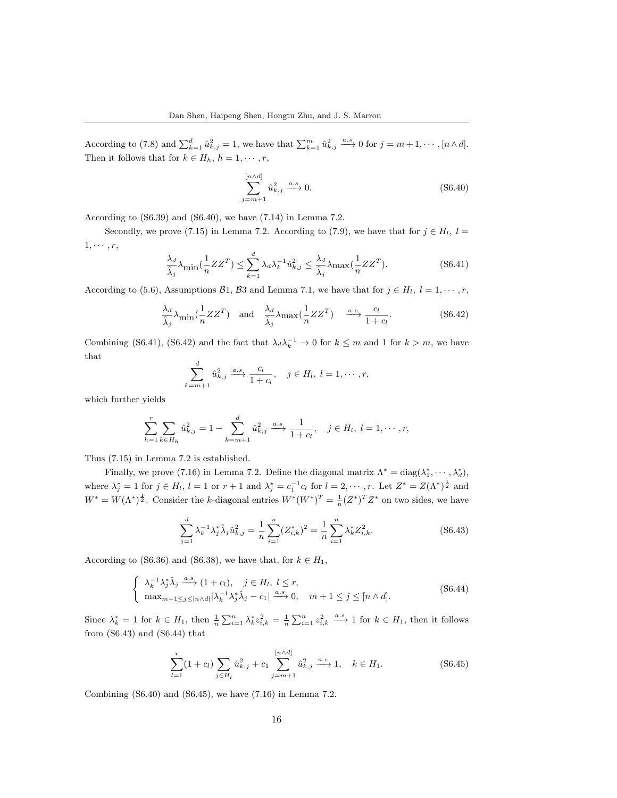According to (7.8) and  $\sum_{k=1}^{d} \hat{u}_{k,j}^2 = 1$ , we have that  $\sum_{k=1}^{m} \hat{u}_{k,j}^2 \stackrel{a.s}{\longrightarrow} 0$  for  $j = m+1, \cdots, [n \wedge d]$ . Then it follows that for  $k \in H_h$ ,  $h = 1, \dots, r$ ,

$$
\sum_{j=m+1}^{[n \wedge d]} \hat{u}_{k,j}^2 \xrightarrow{a.s} 0.
$$
 (S6.40)

According to (S6.39) and (S6.40), we have (7.14) in Lemma 7.2.

Secondly, we prove (7.15) in Lemma 7.2. According to (7.9), we have that for  $j \in H_l$ ,  $l =$  $1, \cdots, r$ ,

$$
\frac{\lambda_d}{\hat{\lambda}_j} \lambda_{\text{min}}(\frac{1}{n} Z Z^T) \le \sum_{k=1}^d \lambda_d \lambda_k^{-1} \hat{u}_{k,j}^2 \le \frac{\lambda_d}{\hat{\lambda}_j} \lambda_{\text{max}}(\frac{1}{n} Z Z^T). \tag{S6.41}
$$

According to (5.6), Assumptions B1, B3 and Lemma 7.1, we have that for  $j \in H_l$ ,  $l = 1, \dots, r$ ,

$$
\frac{\lambda_d}{\hat{\lambda}_j} \lambda_{\text{min}}(\frac{1}{n} Z Z^T) \quad \text{and} \quad \frac{\lambda_d}{\hat{\lambda}_j} \lambda_{\text{max}}(\frac{1}{n} Z Z^T) \quad \xrightarrow{a.s} \frac{c_l}{1+c_l}.\tag{S6.42}
$$

Combining (S6.41), (S6.42) and the fact that  $\lambda_d \lambda_k^{-1} \to 0$  for  $k \leq m$  and 1 for  $k > m$ , we have that

$$
\sum_{m=1}^d \hat{u}_{k,j}^2 \xrightarrow{a.s} \frac{c_l}{1+c_l}, \quad j \in H_l, l = 1, \cdots, r,
$$

which further yields

$$
\sum_{h=1}^{r} \sum_{k \in H_h} \hat{u}_{k,j}^2 = 1 - \sum_{k=m+1}^{d} \hat{u}_{k,j}^2 \xrightarrow{a.s} \frac{1}{1+c_l}, \quad j \in H_l, l = 1, \cdots, r,
$$

Thus (7.15) in Lemma 7.2 is established.

 $\boldsymbol{k}$ 

Finally, we prove (7.16) in Lemma 7.2. Define the diagonal matrix  $\Lambda^* = \text{diag}(\lambda_1^*, \cdots, \lambda_d^*)$ , where  $\lambda_j^* = 1$  for  $j \in H_l$ ,  $l = 1$  or  $r + 1$  and  $\lambda_j^* = c_1^{-1} c_l$  for  $l = 2, \dots, r$ . Let  $Z^* = Z(\Lambda^*)^{\frac{1}{2}}$  and  $W^* = W(\Lambda^*)^{\frac{1}{2}}$ . Consider the k-diagonal entries  $W^*(W^*)^T = \frac{1}{n} (Z^*)^T Z^*$  on two sides, we have

$$
\sum_{j=1}^{d} \lambda_k^{-1} \lambda_j^* \hat{\lambda}_j \hat{u}_{k,j}^2 = \frac{1}{n} \sum_{i=1}^{n} (Z_{i,k}^*)^2 = \frac{1}{n} \sum_{i=1}^{n} \lambda_k^* Z_{i,k}^2.
$$
 (S6.43)

According to (S6.36) and (S6.38), we have that, for  $k \in H_1$ ,

$$
\begin{cases}\n\lambda_k^{-1} \lambda_j^* \hat{\lambda}_j \xrightarrow{a.s} (1+c_l), \quad j \in H_l, \ l \leq r, \\
\max_{m+1 \leq j \leq [n \wedge d]} |\lambda_k^{-1} \lambda_j^* \hat{\lambda}_j - c_1| \xrightarrow{a.s} 0, \quad m+1 \leq j \leq [n \wedge d].\n\end{cases}
$$
\n(S6.44)

Since  $\lambda_k^* = 1$  for  $k \in H_1$ , then  $\frac{1}{n} \sum_{i=1}^n \lambda_k^* z_{i,k}^2 = \frac{1}{n} \sum_{i=1}^n z_{i,k}^2 \xrightarrow{a.s} 1$  for  $k \in H_1$ , then it follows from (S6.43) and (S6.44) that

$$
\sum_{l=1}^{r} (1 + c_l) \sum_{j \in H_l} \hat{u}_{k,j}^2 + c_1 \sum_{j=m+1}^{[n \wedge d]} \hat{u}_{k,j}^2 \xrightarrow{a.s} 1, \quad k \in H_1.
$$
 (S6.45)

Combining (S6.40) and (S6.45), we have (7.16) in Lemma 7.2.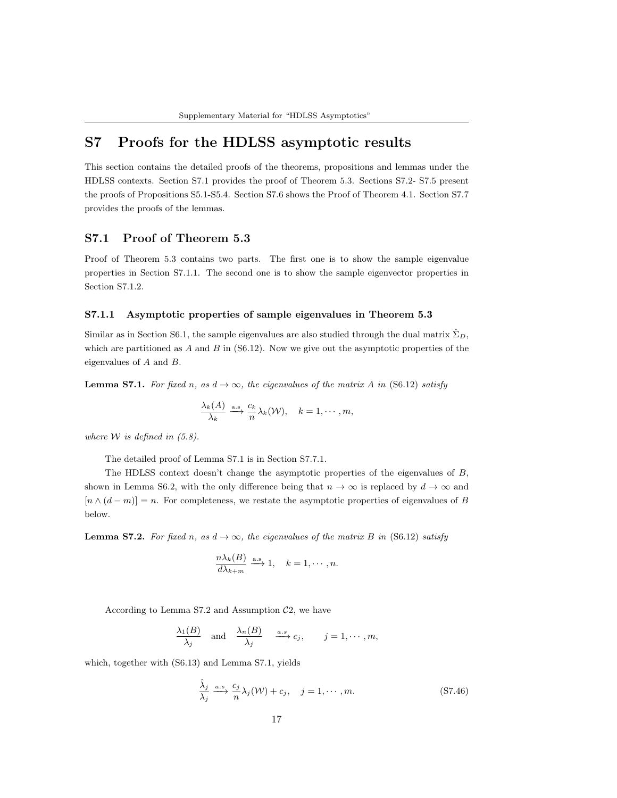# S7 Proofs for the HDLSS asymptotic results

This section contains the detailed proofs of the theorems, propositions and lemmas under the HDLSS contexts. Section S7.1 provides the proof of Theorem 5.3. Sections S7.2- S7.5 present the proofs of Propositions S5.1-S5.4. Section S7.6 shows the Proof of Theorem 4.1. Section S7.7 provides the proofs of the lemmas.

## S7.1 Proof of Theorem 5.3

Proof of Theorem 5.3 contains two parts. The first one is to show the sample eigenvalue properties in Section S7.1.1. The second one is to show the sample eigenvector properties in Section S7.1.2.

#### S7.1.1 Asymptotic properties of sample eigenvalues in Theorem 5.3

Similar as in Section S6.1, the sample eigenvalues are also studied through the dual matrix  $\Sigma_D$ , which are partitioned as  $A$  and  $B$  in (S6.12). Now we give out the asymptotic properties of the eigenvalues of A and B.

**Lemma S7.1.** For fixed n, as  $d \rightarrow \infty$ , the eigenvalues of the matrix A in (S6.12) satisfy

$$
\frac{\lambda_k(A)}{\lambda_k} \xrightarrow{\text{a.s.}} \frac{c_k}{n} \lambda_k(\mathcal{W}), \quad k = 1, \cdots, m,
$$

where  $W$  is defined in  $(5.8)$ .

The detailed proof of Lemma S7.1 is in Section S7.7.1.

The HDLSS context doesn't change the asymptotic properties of the eigenvalues of  $B$ , shown in Lemma S6.2, with the only difference being that  $n \to \infty$  is replaced by  $d \to \infty$  and  $[n \wedge (d-m)] = n$ . For completeness, we restate the asymptotic properties of eigenvalues of B below.

**Lemma S7.2.** For fixed n, as  $d \rightarrow \infty$ , the eigenvalues of the matrix B in (S6.12) satisfy

$$
\frac{n\lambda_k(B)}{d\lambda_{k+m}} \xrightarrow{\text{a.s}} 1, \quad k = 1, \cdots, n.
$$

According to Lemma S7.2 and Assumption  $C_2$ , we have

$$
\frac{\lambda_1(B)}{\lambda_j} \quad \text{and} \quad \frac{\lambda_n(B)}{\lambda_j} \quad \stackrel{a.s.}{\longrightarrow} c_j, \qquad j=1,\cdots,m,
$$

which, together with (S6.13) and Lemma S7.1, yields

$$
\frac{\hat{\lambda}_j}{\lambda_j} \xrightarrow{a.s} \frac{c_j}{n} \lambda_j(\mathcal{W}) + c_j, \quad j = 1, \cdots, m.
$$
 (S7.46)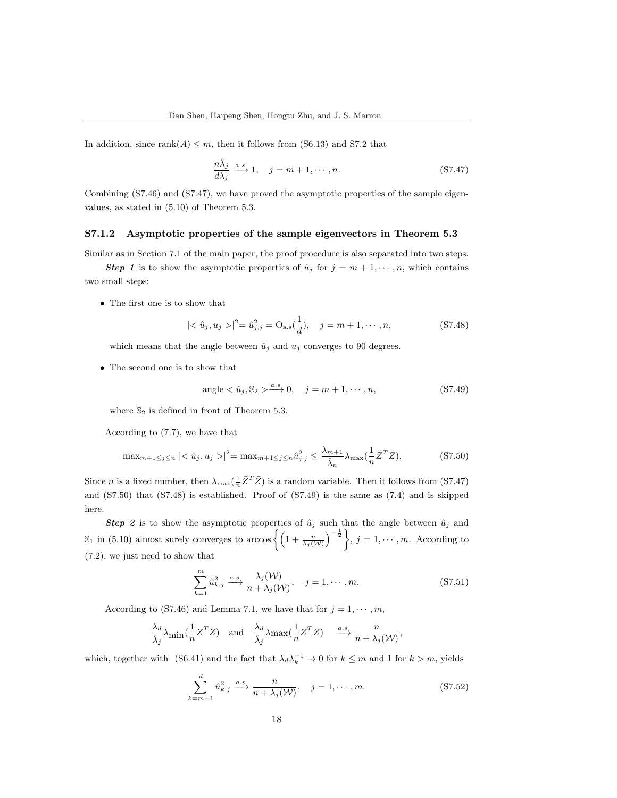In addition, since  $rank(A) \leq m$ , then it follows from (S6.13) and S7.2 that

$$
\frac{n\hat{\lambda}_j}{d\lambda_j} \xrightarrow{a.s} 1, \quad j = m+1, \cdots, n. \tag{S7.47}
$$

Combining (S7.46) and (S7.47), we have proved the asymptotic properties of the sample eigenvalues, as stated in (5.10) of Theorem 5.3.

#### S7.1.2 Asymptotic properties of the sample eigenvectors in Theorem 5.3

Similar as in Section 7.1 of the main paper, the proof procedure is also separated into two steps.

**Step 1** is to show the asymptotic properties of  $\hat{u}_j$  for  $j = m + 1, \dots, n$ , which contains two small steps:

• The first one is to show that

$$
|\langle \hat{u}_j, u_j \rangle|^2 = \hat{u}_{j,j}^2 = O_{\text{a.s}}(\frac{1}{d}), \quad j = m+1, \cdots, n,
$$
 (S7.48)

which means that the angle between  $\hat{u}_j$  and  $u_j$  converges to 90 degrees.

• The second one is to show that

$$
angle < \hat{u}_j, S_2 > \xrightarrow{a.s} 0, \quad j = m+1, \cdots, n,
$$
\n(S7.49)

where  $\mathbb{S}_2$  is defined in front of Theorem 5.3.

According to (7.7), we have that

$$
\max_{m+1 \le j \le n} |\langle \hat{u}_j, u_j \rangle|^2 = \max_{m+1 \le j \le n} \hat{u}_{j,j}^2 \le \frac{\lambda_{m+1}}{\hat{\lambda}_n} \lambda_{\max} (\frac{1}{n} \bar{Z}^T \bar{Z}), \tag{S7.50}
$$

Since *n* is a fixed number, then  $\lambda_{\max}(\frac{1}{n}\bar{Z}^T\bar{Z})$  is a random variable. Then it follows from (S7.47) and (S7.50) that (S7.48) is established. Proof of (S7.49) is the same as (7.4) and is skipped here.

**Step 2** is to show the asymptotic properties of  $\hat{u}_j$  such that the angle between  $\hat{u}_j$  and S<sub>1</sub> in (5.10) almost surely converges to arccos  $\left\{ \left(1+\frac{n}{\lambda_j(W)}\right)^{-\frac{1}{2}} \right\}$ ,  $j=1,\cdots,m$ . According to (7.2), we just need to show that

$$
\sum_{k=1}^{m} \hat{u}_{k,j}^2 \xrightarrow{a.s} \frac{\lambda_j(\mathcal{W})}{n + \lambda_j(\mathcal{W})}, \quad j = 1, \cdots, m.
$$
 (S7.51)

According to (S7.46) and Lemma 7.1, we have that for  $j = 1, \dots, m$ ,

$$
\frac{\lambda_d}{\hat{\lambda}_j} \lambda_{\min}(\frac{1}{n} Z^T Z) \quad \text{and} \quad \frac{\lambda_d}{\hat{\lambda}_j} \lambda_{\max}(\frac{1}{n} Z^T Z) \quad \xrightarrow{a.s} \frac{n}{n + \lambda_j(\mathcal{W})},
$$

which, together with (S6.41) and the fact that  $\lambda_d \lambda_k^{-1} \to 0$  for  $k \leq m$  and 1 for  $k > m$ , yields

$$
\sum_{k=m+1}^{d} \hat{u}_{k,j}^2 \xrightarrow{a.s} \frac{n}{n + \lambda_j(\mathcal{W})}, \quad j = 1, \cdots, m.
$$
 (S7.52)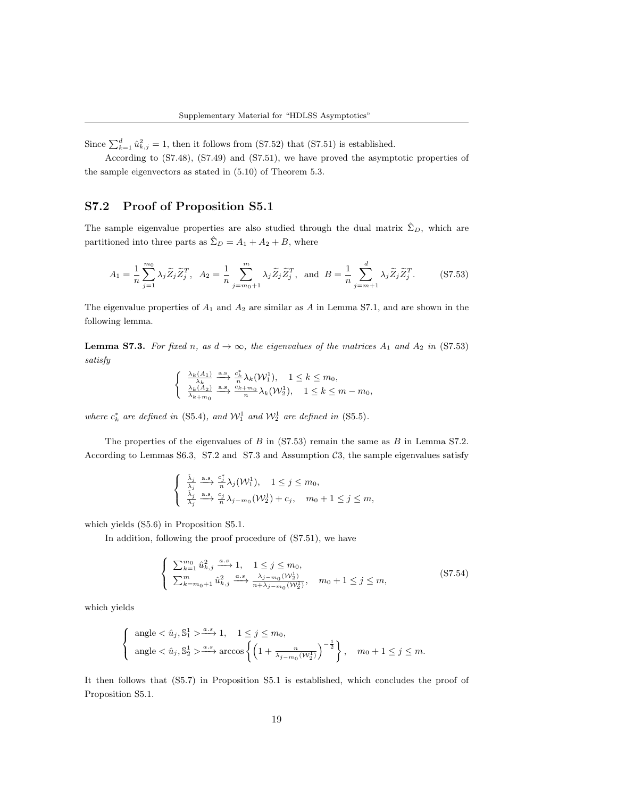Since  $\sum_{k=1}^{d} \hat{u}_{k,j}^2 = 1$ , then it follows from (S7.52) that (S7.51) is established.

According to (S7.48), (S7.49) and (S7.51), we have proved the asymptotic properties of the sample eigenvectors as stated in (5.10) of Theorem 5.3.

## S7.2 Proof of Proposition S5.1

The sample eigenvalue properties are also studied through the dual matrix  $\hat{\Sigma}_D$ , which are partitioned into three parts as  $\hat{\Sigma}_D = A_1 + A_2 + B$ , where

$$
A_1 = \frac{1}{n} \sum_{j=1}^{m_0} \lambda_j \widetilde{Z}_j \widetilde{Z}_j^T, \quad A_2 = \frac{1}{n} \sum_{j=m_0+1}^{m_0} \lambda_j \widetilde{Z}_j \widetilde{Z}_j^T, \quad \text{and} \quad B = \frac{1}{n} \sum_{j=m+1}^{d_0} \lambda_j \widetilde{Z}_j \widetilde{Z}_j^T. \tag{S7.53}
$$

The eigenvalue properties of  $A_1$  and  $A_2$  are similar as A in Lemma S7.1, and are shown in the following lemma.

**Lemma S7.3.** For fixed n, as  $d \to \infty$ , the eigenvalues of the matrices  $A_1$  and  $A_2$  in (S7.53) satisfy

$$
\begin{cases} \frac{\lambda_k(A_1)}{\lambda_k} \xrightarrow{\text{a.s.}} \frac{c_k^*}{n} \lambda_k(\mathcal{W}_1^1), \quad 1 \leq k \leq m_0,\\ \frac{\lambda_k(A_2)}{\lambda_{k+m_0}} \xrightarrow{\text{a.s.}} \frac{c_{k+m_0}}{n} \lambda_k(\mathcal{W}_2^1), \quad 1 \leq k \leq m-m_0, \end{cases}
$$

where  $c_k^*$  are defined in (S5.4), and  $\mathcal{W}_1^1$  and  $\mathcal{W}_2^1$  are defined in (S5.5).

The properties of the eigenvalues of  $B$  in (S7.53) remain the same as  $B$  in Lemma S7.2. According to Lemmas S6.3, S7.2 and S7.3 and Assumption  $\mathcal{C}3$ , the sample eigenvalues satisfy

$$
\begin{cases} \n\frac{\hat{\lambda}_j}{\lambda_j} \xrightarrow{\text{a.s.}} \frac{c_j^*}{n} \lambda_j(\mathcal{W}_1^1), \quad 1 \leq j \leq m_0, \\
\frac{\hat{\lambda}_j}{\lambda_j} \xrightarrow{\text{a.s.}} \frac{c_j}{n} \lambda_{j-m_0}(\mathcal{W}_2^1) + c_j, \quad m_0 + 1 \leq j \leq m,\n\end{cases}
$$

which yields (S5.6) in Proposition S5.1.

In addition, following the proof procedure of (S7.51), we have

$$
\begin{cases}\n\sum_{k=1}^{m_0} \hat{u}_{k,j}^2 \xrightarrow{a.s} 1, \quad 1 \le j \le m_0, \\
\sum_{k=m_0+1}^{m} \hat{u}_{k,j}^2 \xrightarrow{a.s} \frac{\lambda_{j-m_0}(W_2^1)}{n+\lambda_{j-m_0}(W_2^1)}, \quad m_0+1 \le j \le m,\n\end{cases}
$$
\n
$$
(S7.54)
$$

which yields

$$
\begin{cases}\n\text{ angle} < \hat{u}_j, \mathbb{S}_1^1 > \xrightarrow{a.s} 1, \quad 1 \leq j \leq m_0, \\
\text{angle} < \hat{u}_j, \mathbb{S}_2^1 > \xrightarrow{a.s} \arccos \left\{ \left( 1 + \frac{n}{\lambda_j - m_0(W_2^1)} \right)^{-\frac{1}{2}} \right\}, \quad m_0 + 1 \leq j \leq m.\n\end{cases}
$$

It then follows that (S5.7) in Proposition S5.1 is established, which concludes the proof of Proposition S5.1.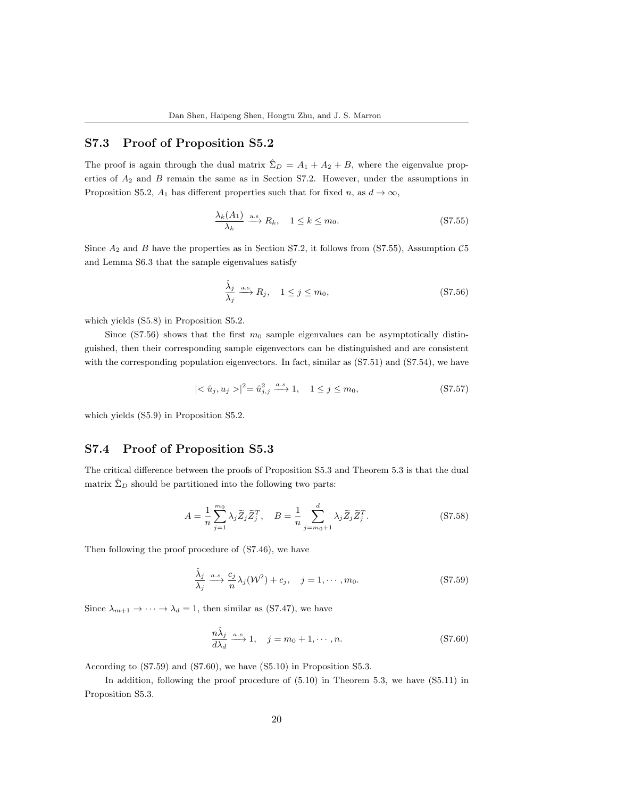## S7.3 Proof of Proposition S5.2

The proof is again through the dual matrix  $\hat{\Sigma}_D = A_1 + A_2 + B$ , where the eigenvalue properties of  $A_2$  and  $B$  remain the same as in Section S7.2. However, under the assumptions in Proposition S5.2,  $A_1$  has different properties such that for fixed n, as  $d \to \infty$ ,

$$
\frac{\lambda_k(A_1)}{\lambda_k} \xrightarrow{\text{a.s.}} R_k, \quad 1 \le k \le m_0. \tag{S7.55}
$$

Since  $A_2$  and  $B$  have the properties as in Section S7.2, it follows from (S7.55), Assumption C5 and Lemma S6.3 that the sample eigenvalues satisfy

$$
\frac{\hat{\lambda}_j}{\lambda_j} \xrightarrow{\text{a.s.}} R_j, \quad 1 \le j \le m_0,
$$
\n(S7.56)

which yields (S5.8) in Proposition S5.2.

Since (S7.56) shows that the first  $m_0$  sample eigenvalues can be asymptotically distinguished, then their corresponding sample eigenvectors can be distinguished and are consistent with the corresponding population eigenvectors. In fact, similar as (S7.51) and (S7.54), we have

$$
|\langle \hat{u}_j, u_j \rangle|^2 = \hat{u}_{j,j}^2 \xrightarrow{a.s} 1, \quad 1 \le j \le m_0,
$$
 (S7.57)

which yields (S5.9) in Proposition S5.2.

## S7.4 Proof of Proposition S5.3

The critical difference between the proofs of Proposition S5.3 and Theorem 5.3 is that the dual matrix  $\hat{\Sigma}_D$  should be partitioned into the following two parts:

$$
A = \frac{1}{n} \sum_{j=1}^{m_0} \lambda_j \widetilde{Z}_j \widetilde{Z}_j^T, \quad B = \frac{1}{n} \sum_{j=m_0+1}^d \lambda_j \widetilde{Z}_j \widetilde{Z}_j^T.
$$
 (S7.58)

Then following the proof procedure of (S7.46), we have

$$
\frac{\hat{\lambda}_j}{\lambda_j} \xrightarrow{a.s} \frac{c_j}{n} \lambda_j(\mathcal{W}^2) + c_j, \quad j = 1, \cdots, m_0.
$$
 (S7.59)

Since  $\lambda_{m+1} \to \cdots \to \lambda_d = 1$ , then similar as (S7.47), we have

$$
\frac{n\hat{\lambda}_j}{d\lambda_d} \xrightarrow{a.s} 1, \quad j = m_0 + 1, \cdots, n.
$$
 (S7.60)

According to (S7.59) and (S7.60), we have (S5.10) in Proposition S5.3.

In addition, following the proof procedure of  $(5.10)$  in Theorem 5.3, we have  $(S5.11)$  in Proposition S5.3.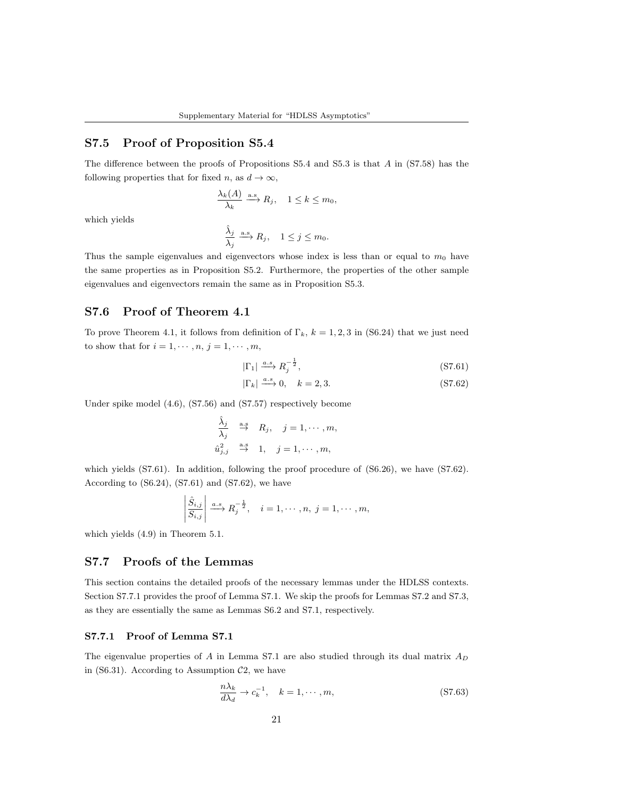## S7.5 Proof of Proposition S5.4

The difference between the proofs of Propositions S5.4 and S5.3 is that A in (S7.58) has the following properties that for fixed n, as  $d \to \infty$ ,

$$
\frac{\lambda_k(A)}{\lambda_k} \xrightarrow{\text{a.s}} R_j, \quad 1 \leq k \leq m_0,
$$

which yields

$$
\frac{\hat{\lambda}_j}{\lambda_j} \xrightarrow{\text{a.s}} R_j, \quad 1 \leq j \leq m_0.
$$

Thus the sample eigenvalues and eigenvectors whose index is less than or equal to  $m_0$  have the same properties as in Proposition S5.2. Furthermore, the properties of the other sample eigenvalues and eigenvectors remain the same as in Proposition S5.3.

### S7.6 Proof of Theorem 4.1

To prove Theorem 4.1, it follows from definition of  $\Gamma_k$ ,  $k = 1, 2, 3$  in (S6.24) that we just need to show that for  $i = 1, \dots, n, j = 1, \dots, m$ ,

$$
|\Gamma_1| \xrightarrow{a.s} R_j^{-\frac{1}{2}},\tag{S7.61}
$$

$$
|\Gamma_k| \xrightarrow{a.s} 0, \quad k = 2, 3. \tag{S7.62}
$$

Under spike model (4.6), (S7.56) and (S7.57) respectively become

$$
\begin{aligned}\n\hat{\lambda}_j & \xrightarrow{\text{a.s}} R_j, \quad j = 1, \cdots, m, \\
\hat{u}_{j,j}^2 & \xrightarrow{\text{a.s}} 1, \quad j = 1, \cdots, m,\n\end{aligned}
$$

which yields (S7.61). In addition, following the proof procedure of (S6.26), we have (S7.62). According to  $(S6.24)$ ,  $(S7.61)$  and  $(S7.62)$ , we have

$$
\left|\frac{\hat{S}_{i,j}}{S_{i,j}}\right| \xrightarrow{a.s} R_j^{-\frac{1}{2}}, \quad i = 1, \cdots, n, \ j = 1, \cdots, m,
$$

which yields (4.9) in Theorem 5.1.

### S7.7 Proofs of the Lemmas

This section contains the detailed proofs of the necessary lemmas under the HDLSS contexts. Section S7.7.1 provides the proof of Lemma S7.1. We skip the proofs for Lemmas S7.2 and S7.3, as they are essentially the same as Lemmas S6.2 and S7.1, respectively.

### S7.7.1 Proof of Lemma S7.1

The eigenvalue properties of A in Lemma S7.1 are also studied through its dual matrix  $A_D$ in (S6.31). According to Assumption  $C_2$ , we have

$$
\frac{n\lambda_k}{d\lambda_d} \to c_k^{-1}, \quad k = 1, \cdots, m,
$$
\n(S7.63)